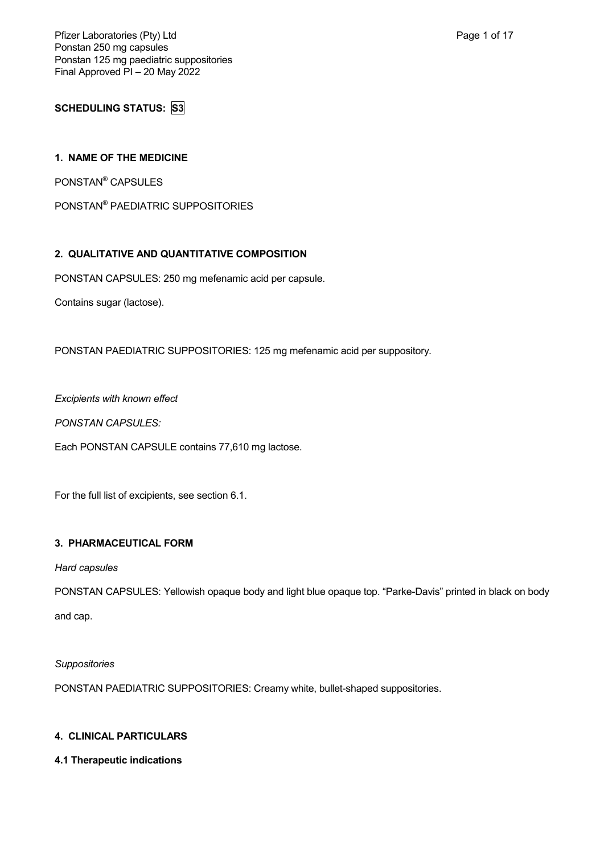Pfizer Laboratories (Pty) Ltd **Page 1 of 17** and Page 1 of 17 Ponstan 250 mg capsules Ponstan 125 mg paediatric suppositories Final Approved PI – 20 May 2022

**SCHEDULING STATUS: S3**

## **1. NAME OF THE MEDICINE**

PONSTAN® CAPSULES

PONSTAN® PAEDIATRIC SUPPOSITORIES

## **2. QUALITATIVE AND QUANTITATIVE COMPOSITION**

PONSTAN CAPSULES: 250 mg mefenamic acid per capsule.

Contains sugar (lactose).

PONSTAN PAEDIATRIC SUPPOSITORIES: 125 mg mefenamic acid per suppository.

*Excipients with known effect*

*PONSTAN CAPSULES:*

Each PONSTAN CAPSULE contains 77,610 mg lactose.

For the full list of excipients, see section 6.1.

## **3. PHARMACEUTICAL FORM**

## *Hard capsules*

PONSTAN CAPSULES: Yellowish opaque body and light blue opaque top. "Parke-Davis" printed in black on body and cap.

## *Suppositories*

PONSTAN PAEDIATRIC SUPPOSITORIES: Creamy white, bullet-shaped suppositories.

## **4. CLINICAL PARTICULARS**

## **4.1 Therapeutic indications**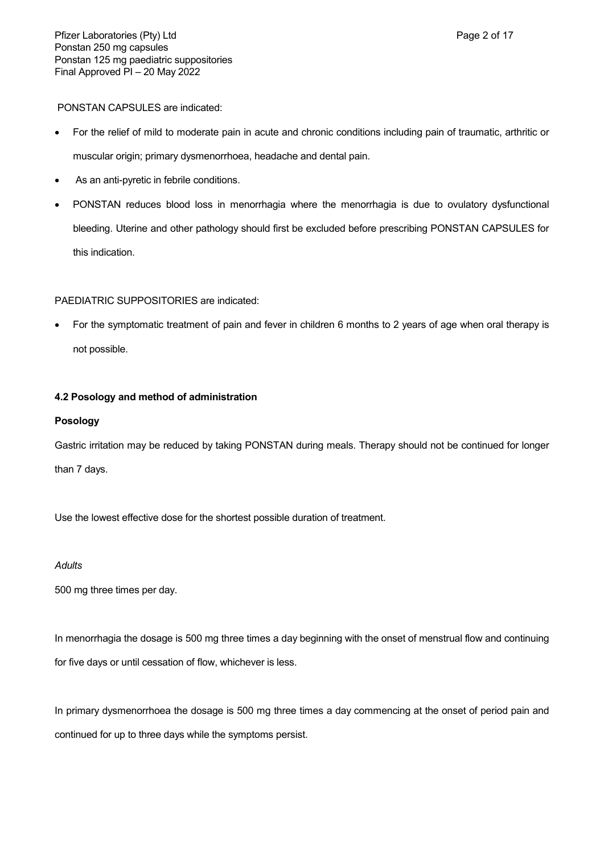PONSTAN CAPSULES are indicated:

- For the relief of mild to moderate pain in acute and chronic conditions including pain of traumatic, arthritic or muscular origin; primary dysmenorrhoea, headache and dental pain.
- As an anti-pyretic in febrile conditions.
- PONSTAN reduces blood loss in menorrhagia where the menorrhagia is due to ovulatory dysfunctional bleeding. Uterine and other pathology should first be excluded before prescribing PONSTAN CAPSULES for this indication.

## PAEDIATRIC SUPPOSITORIES are indicated:

 For the symptomatic treatment of pain and fever in children 6 months to 2 years of age when oral therapy is not possible.

## **4.2 Posology and method of administration**

## **Posology**

Gastric irritation may be reduced by taking PONSTAN during meals. Therapy should not be continued for longer than 7 days.

Use the lowest effective dose for the shortest possible duration of treatment.

### *Adults*

500 mg three times per day.

In menorrhagia the dosage is 500 mg three times a day beginning with the onset of menstrual flow and continuing for five days or until cessation of flow, whichever is less.

In primary dysmenorrhoea the dosage is 500 mg three times a day commencing at the onset of period pain and continued for up to three days while the symptoms persist.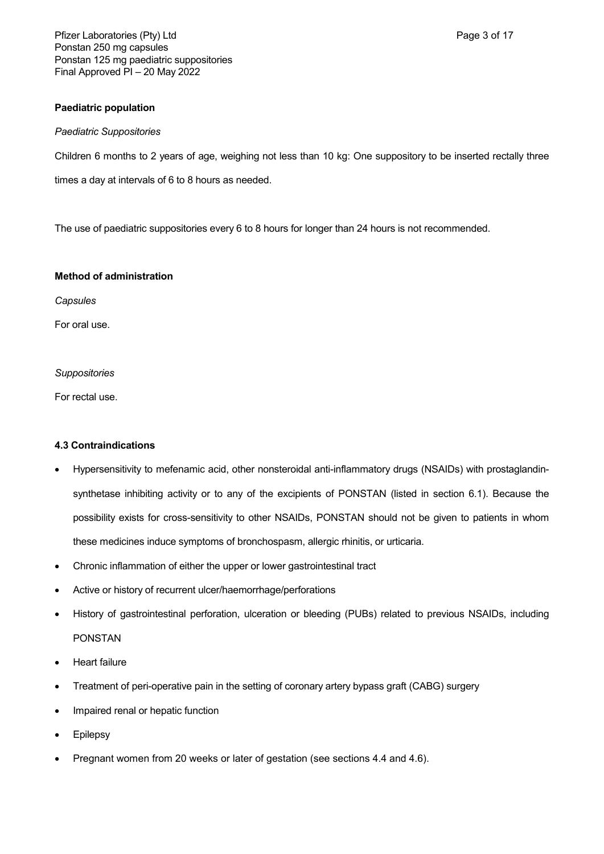Pfizer Laboratories (Pty) Ltd **Page 3 of 17** and Page 3 of 17 Ponstan 250 mg capsules Ponstan 125 mg paediatric suppositories Final Approved PI – 20 May 2022

### **Paediatric population**

### *Paediatric Suppositories*

Children 6 months to 2 years of age, weighing not less than 10 kg: One suppository to be inserted rectally three times a day at intervals of 6 to 8 hours as needed.

The use of paediatric suppositories every 6 to 8 hours for longer than 24 hours is not recommended.

### **Method of administration**

*Capsules*

For oral use.

### *Suppositories*

For rectal use.

## **4.3 Contraindications**

- Hypersensitivity to mefenamic acid, other nonsteroidal anti-inflammatory drugs (NSAIDs) with prostaglandinsynthetase inhibiting activity or to any of the excipients of PONSTAN (listed in section 6.1). Because the possibility exists for cross-sensitivity to other NSAIDs, PONSTAN should not be given to patients in whom these medicines induce symptoms of bronchospasm, allergic rhinitis, or urticaria.
- Chronic inflammation of either the upper or lower gastrointestinal tract
- Active or history of recurrent ulcer/haemorrhage/perforations
- History of gastrointestinal perforation, ulceration or bleeding (PUBs) related to previous NSAIDs, including PONSTAN
- Heart failure
- Treatment of peri-operative pain in the setting of coronary artery bypass graft (CABG) surgery
- Impaired renal or hepatic function
- Epilepsy
- Pregnant women from 20 weeks or later of gestation (see sections 4.4 and 4.6).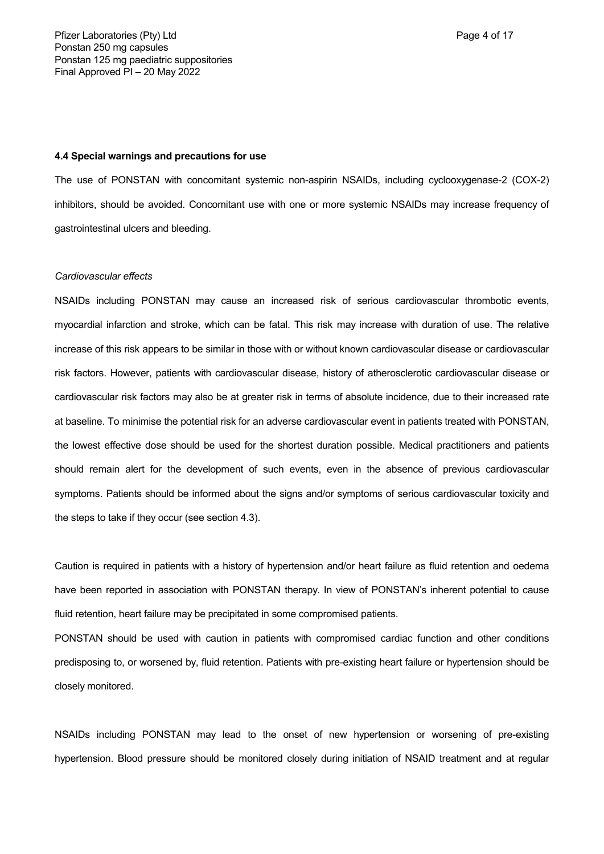#### **4.4 Special warnings and precautions for use**

The use of PONSTAN with concomitant systemic non-aspirin NSAIDs, including cyclooxygenase-2 (COX-2) inhibitors, should be avoided. Concomitant use with one or more systemic NSAIDs may increase frequency of gastrointestinal ulcers and bleeding.

#### *Cardiovascular effects*

NSAIDs including PONSTAN may cause an increased risk of serious cardiovascular thrombotic events, myocardial infarction and stroke, which can be fatal. This risk may increase with duration of use. The relative increase of this risk appears to be similar in those with or without known cardiovascular disease or cardiovascular risk factors. However, patients with cardiovascular disease, history of atherosclerotic cardiovascular disease or cardiovascular risk factors may also be at greater risk in terms of absolute incidence, due to their increased rate at baseline. To minimise the potential risk for an adverse cardiovascular event in patients treated with PONSTAN, the lowest effective dose should be used for the shortest duration possible. Medical practitioners and patients should remain alert for the development of such events, even in the absence of previous cardiovascular symptoms. Patients should be informed about the signs and/or symptoms of serious cardiovascular toxicity and the steps to take if they occur (see section 4.3).

Caution is required in patients with a history of hypertension and/or heart failure as fluid retention and oedema have been reported in association with PONSTAN therapy. In view of PONSTAN's inherent potential to cause fluid retention, heart failure may be precipitated in some compromised patients.

PONSTAN should be used with caution in patients with compromised cardiac function and other conditions predisposing to, or worsened by, fluid retention. Patients with pre-existing heart failure or hypertension should be closely monitored.

NSAIDs including PONSTAN may lead to the onset of new hypertension or worsening of pre-existing hypertension. Blood pressure should be monitored closely during initiation of NSAID treatment and at regular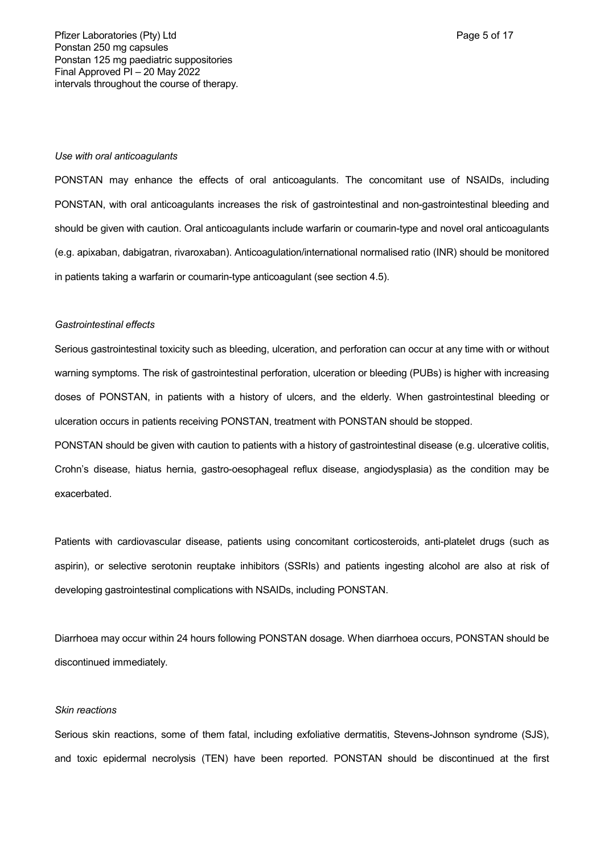#### *Use with oral anticoagulants*

PONSTAN may enhance the effects of oral anticoagulants. The concomitant use of NSAIDs, including PONSTAN, with oral anticoagulants increases the risk of gastrointestinal and non-gastrointestinal bleeding and should be given with caution. Oral anticoagulants include warfarin or coumarin-type and novel oral anticoagulants (e.g. apixaban, dabigatran, rivaroxaban). Anticoagulation/international normalised ratio (INR) should be monitored in patients taking a warfarin or coumarin-type anticoagulant (see section 4.5).

#### *Gastrointestinal effects*

Serious gastrointestinal toxicity such as bleeding, ulceration, and perforation can occur at any time with or without warning symptoms. The risk of gastrointestinal perforation, ulceration or bleeding (PUBs) is higher with increasing doses of PONSTAN, in patients with a history of ulcers, and the elderly. When gastrointestinal bleeding or ulceration occurs in patients receiving PONSTAN, treatment with PONSTAN should be stopped.

PONSTAN should be given with caution to patients with a history of gastrointestinal disease (e.g. ulcerative colitis, Crohn's disease, hiatus hernia, gastro-oesophageal reflux disease, angiodysplasia) as the condition may be exacerbated.

Patients with cardiovascular disease, patients using concomitant corticosteroids, anti-platelet drugs (such as aspirin), or selective serotonin reuptake inhibitors (SSRIs) and patients ingesting alcohol are also at risk of developing gastrointestinal complications with NSAIDs, including PONSTAN.

Diarrhoea may occur within 24 hours following PONSTAN dosage. When diarrhoea occurs, PONSTAN should be discontinued immediately.

#### *Skin reactions*

Serious skin reactions, some of them fatal, including exfoliative dermatitis, Stevens-Johnson syndrome (SJS), and toxic epidermal necrolysis (TEN) have been reported. PONSTAN should be discontinued at the first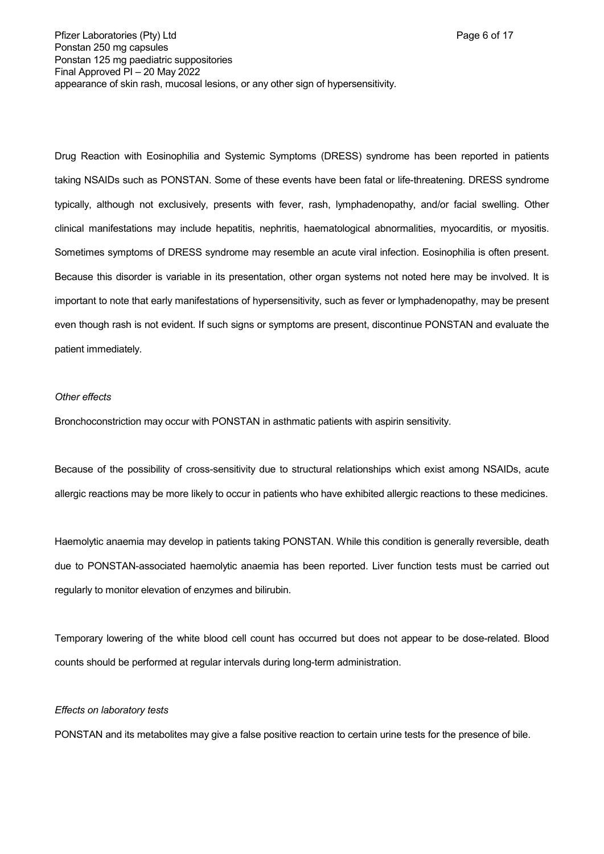Drug Reaction with Eosinophilia and Systemic Symptoms (DRESS) syndrome has been reported in patients taking NSAIDs such as PONSTAN. Some of these events have been fatal or life-threatening. DRESS syndrome typically, although not exclusively, presents with fever, rash, lymphadenopathy, and/or facial swelling. Other clinical manifestations may include hepatitis, nephritis, haematological abnormalities, myocarditis, or myositis. Sometimes symptoms of DRESS syndrome may resemble an acute viral infection. Eosinophilia is often present. Because this disorder is variable in its presentation, other organ systems not noted here may be involved. It is important to note that early manifestations of hypersensitivity, such as fever or lymphadenopathy, may be present even though rash is not evident. If such signs or symptoms are present, discontinue PONSTAN and evaluate the patient immediately.

### *Other effects*

Bronchoconstriction may occur with PONSTAN in asthmatic patients with aspirin sensitivity.

Because of the possibility of cross-sensitivity due to structural relationships which exist among NSAIDs, acute allergic reactions may be more likely to occur in patients who have exhibited allergic reactions to these medicines.

Haemolytic anaemia may develop in patients taking PONSTAN. While this condition is generally reversible, death due to PONSTAN-associated haemolytic anaemia has been reported. Liver function tests must be carried out regularly to monitor elevation of enzymes and bilirubin.

Temporary lowering of the white blood cell count has occurred but does not appear to be dose-related. Blood counts should be performed at regular intervals during long-term administration.

#### *Effects on laboratory tests*

PONSTAN and its metabolites may give a false positive reaction to certain urine tests for the presence of bile.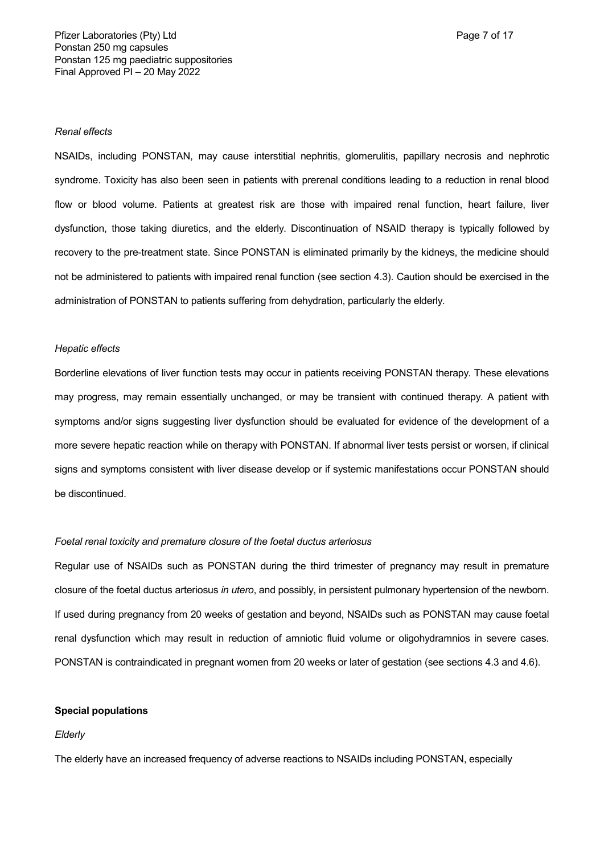#### *Renal effects*

NSAIDs, including PONSTAN, may cause interstitial nephritis, glomerulitis, papillary necrosis and nephrotic syndrome. Toxicity has also been seen in patients with prerenal conditions leading to a reduction in renal blood flow or blood volume. Patients at greatest risk are those with impaired renal function, heart failure, liver dysfunction, those taking diuretics, and the elderly. Discontinuation of NSAID therapy is typically followed by recovery to the pre-treatment state. Since PONSTAN is eliminated primarily by the kidneys, the medicine should not be administered to patients with impaired renal function (see section 4.3). Caution should be exercised in the administration of PONSTAN to patients suffering from dehydration, particularly the elderly.

### *Hepatic effects*

Borderline elevations of liver function tests may occur in patients receiving PONSTAN therapy. These elevations may progress, may remain essentially unchanged, or may be transient with continued therapy. A patient with symptoms and/or signs suggesting liver dysfunction should be evaluated for evidence of the development of a more severe hepatic reaction while on therapy with PONSTAN. If abnormal liver tests persist or worsen, if clinical signs and symptoms consistent with liver disease develop or if systemic manifestations occur PONSTAN should be discontinued.

#### *Foetal renal toxicity and premature closure of the foetal ductus arteriosus*

Regular use of NSAIDs such as PONSTAN during the third trimester of pregnancy may result in premature closure of the foetal ductus arteriosus *in utero*, and possibly, in persistent pulmonary hypertension of the newborn. If used during pregnancy from 20 weeks of gestation and beyond, NSAIDs such as PONSTAN may cause foetal renal dysfunction which may result in reduction of amniotic fluid volume or oligohydramnios in severe cases. PONSTAN is contraindicated in pregnant women from 20 weeks or later of gestation (see sections 4.3 and 4.6).

#### **Special populations**

#### *Elderly*

The elderly have an increased frequency of adverse reactions to NSAIDs including PONSTAN, especially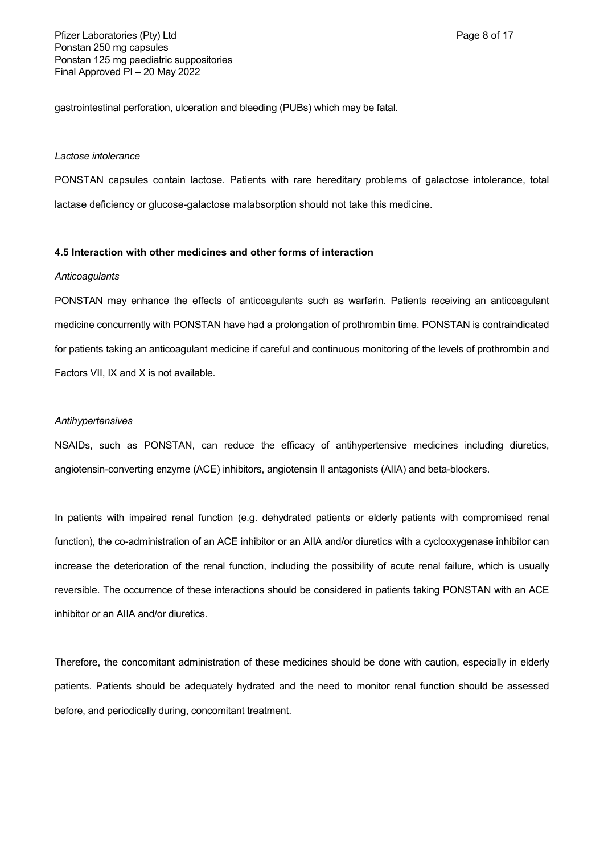gastrointestinal perforation, ulceration and bleeding (PUBs) which may be fatal.

#### *Lactose intolerance*

PONSTAN capsules contain lactose. Patients with rare hereditary problems of galactose intolerance, total lactase deficiency or glucose-galactose malabsorption should not take this medicine.

### **4.5 Interaction with other medicines and other forms of interaction**

#### *Anticoagulants*

PONSTAN may enhance the effects of anticoagulants such as warfarin. Patients receiving an anticoagulant medicine concurrently with PONSTAN have had a prolongation of prothrombin time. PONSTAN is contraindicated for patients taking an anticoagulant medicine if careful and continuous monitoring of the levels of prothrombin and Factors VII, IX and X is not available.

#### *Antihypertensives*

NSAIDs, such as PONSTAN, can reduce the efficacy of antihypertensive medicines including diuretics, angiotensin-converting enzyme (ACE) inhibitors, angiotensin II antagonists (AIIA) and beta-blockers.

In patients with impaired renal function (e.g. dehydrated patients or elderly patients with compromised renal function), the co-administration of an ACE inhibitor or an AIIA and/or diuretics with a cyclooxygenase inhibitor can increase the deterioration of the renal function, including the possibility of acute renal failure, which is usually reversible. The occurrence of these interactions should be considered in patients taking PONSTAN with an ACE inhibitor or an AIIA and/or diuretics.

Therefore, the concomitant administration of these medicines should be done with caution, especially in elderly patients. Patients should be adequately hydrated and the need to monitor renal function should be assessed before, and periodically during, concomitant treatment.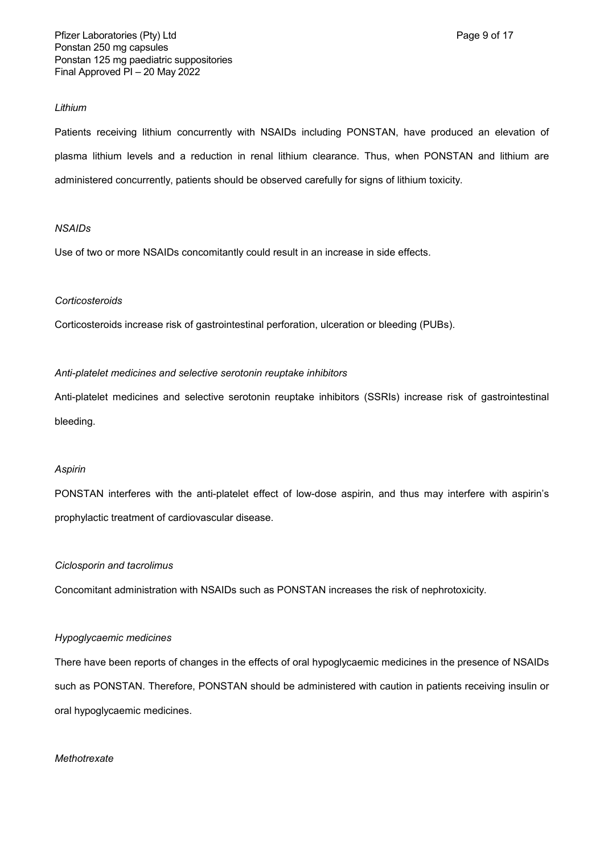### *Lithium*

Patients receiving lithium concurrently with NSAIDs including PONSTAN, have produced an elevation of plasma lithium levels and a reduction in renal lithium clearance. Thus, when PONSTAN and lithium are administered concurrently, patients should be observed carefully for signs of lithium toxicity.

## *NSAIDs*

Use of two or more NSAIDs concomitantly could result in an increase in side effects.

### *Corticosteroids*

Corticosteroids increase risk of gastrointestinal perforation, ulceration or bleeding (PUBs).

## *Anti-platelet medicines and selective serotonin reuptake inhibitors*

Anti-platelet medicines and selective serotonin reuptake inhibitors (SSRIs) increase risk of gastrointestinal bleeding.

### *Aspirin*

PONSTAN interferes with the anti-platelet effect of low-dose aspirin, and thus may interfere with aspirin's prophylactic treatment of cardiovascular disease.

### *Ciclosporin and tacrolimus*

Concomitant administration with NSAIDs such as PONSTAN increases the risk of nephrotoxicity.

### *Hypoglycaemic medicines*

There have been reports of changes in the effects of oral hypoglycaemic medicines in the presence of NSAIDs such as PONSTAN. Therefore, PONSTAN should be administered with caution in patients receiving insulin or oral hypoglycaemic medicines.

### *Methotrexate*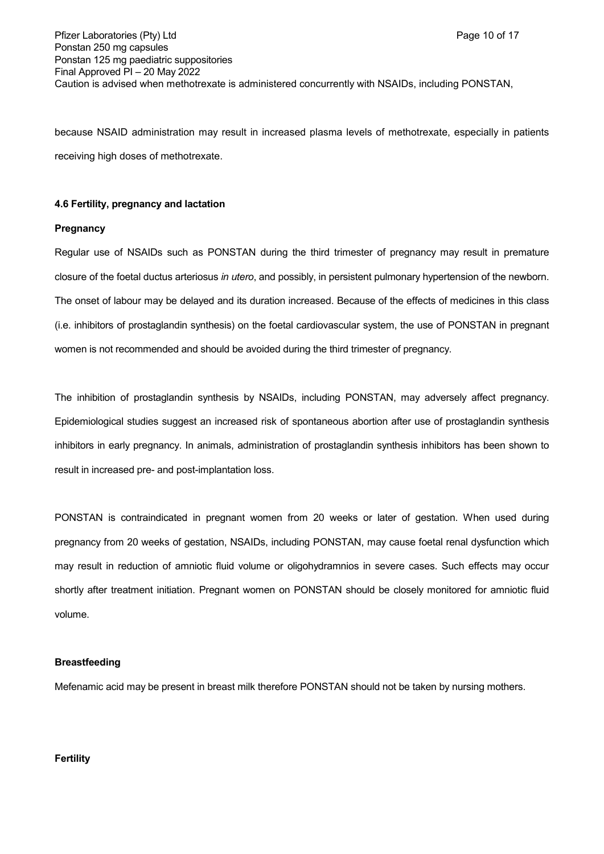because NSAID administration may result in increased plasma levels of methotrexate, especially in patients receiving high doses of methotrexate.

### **4.6 Fertility, pregnancy and lactation**

### **Pregnancy**

Regular use of NSAIDs such as PONSTAN during the third trimester of pregnancy may result in premature closure of the foetal ductus arteriosus *in utero*, and possibly, in persistent pulmonary hypertension of the newborn. The onset of labour may be delayed and its duration increased. Because of the effects of medicines in this class (i.e. inhibitors of prostaglandin synthesis) on the foetal cardiovascular system, the use of PONSTAN in pregnant women is not recommended and should be avoided during the third trimester of pregnancy.

The inhibition of prostaglandin synthesis by NSAIDs, including PONSTAN, may adversely affect pregnancy. Epidemiological studies suggest an increased risk of spontaneous abortion after use of prostaglandin synthesis inhibitors in early pregnancy. In animals, administration of prostaglandin synthesis inhibitors has been shown to result in increased pre- and post-implantation loss.

PONSTAN is contraindicated in pregnant women from 20 weeks or later of gestation. When used during pregnancy from 20 weeks of gestation, NSAIDs, including PONSTAN, may cause foetal renal dysfunction which may result in reduction of amniotic fluid volume or oligohydramnios in severe cases. Such effects may occur shortly after treatment initiation. Pregnant women on PONSTAN should be closely monitored for amniotic fluid volume.

### **Breastfeeding**

Mefenamic acid may be present in breast milk therefore PONSTAN should not be taken by nursing mothers.

### **Fertility**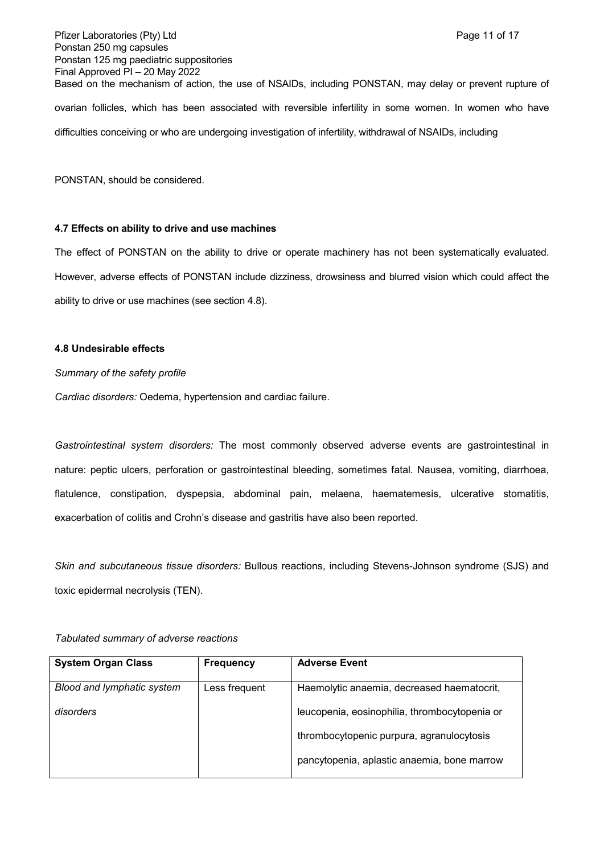Pfizer Laboratories (Pty) Ltd **Page 11 of 17** and Page 11 of 17 Ponstan 250 mg capsules Ponstan 125 mg paediatric suppositories Final Approved PI – 20 May 2022 Based on the mechanism of action, the use of NSAIDs, including PONSTAN, may delay or prevent rupture of ovarian follicles, which has been associated with reversible infertility in some women. In women who have difficulties conceiving or who are undergoing investigation of infertility, withdrawal of NSAIDs, including

PONSTAN, should be considered.

#### **4.7 Effects on ability to drive and use machines**

The effect of PONSTAN on the ability to drive or operate machinery has not been systematically evaluated. However, adverse effects of PONSTAN include dizziness, drowsiness and blurred vision which could affect the ability to drive or use machines (see section 4.8).

#### **4.8 Undesirable effects**

*Summary of the safety profile*

*Cardiac disorders:* Oedema, hypertension and cardiac failure.

*Gastrointestinal system disorders:* The most commonly observed adverse events are gastrointestinal in nature: peptic ulcers, perforation or gastrointestinal bleeding, sometimes fatal. Nausea, vomiting, diarrhoea, flatulence, constipation, dyspepsia, abdominal pain, melaena, haematemesis, ulcerative stomatitis, exacerbation of colitis and Crohn's disease and gastritis have also been reported.

*Skin and subcutaneous tissue disorders:* Bullous reactions, including Stevens-Johnson syndrome (SJS) and toxic epidermal necrolysis (TEN).

| <b>System Organ Class</b>  | <b>Frequency</b> | <b>Adverse Event</b>                          |
|----------------------------|------------------|-----------------------------------------------|
| Blood and lymphatic system | Less frequent    | Haemolytic anaemia, decreased haematocrit,    |
| disorders                  |                  | leucopenia, eosinophilia, thrombocytopenia or |
|                            |                  | thrombocytopenic purpura, agranulocytosis     |
|                            |                  | pancytopenia, aplastic anaemia, bone marrow   |

*Tabulated summary of adverse reactions*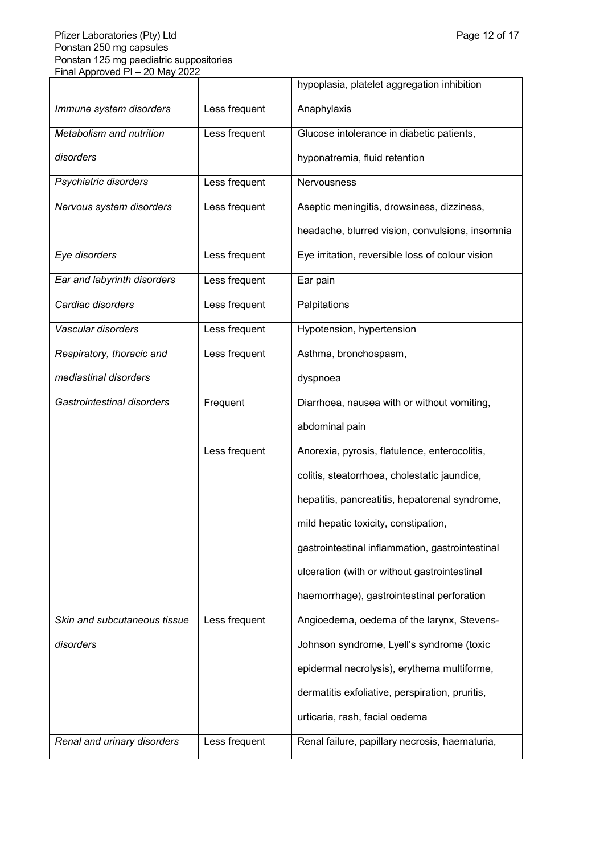|                              |               | hypoplasia, platelet aggregation inhibition      |
|------------------------------|---------------|--------------------------------------------------|
| Immune system disorders      | Less frequent | Anaphylaxis                                      |
| Metabolism and nutrition     | Less frequent | Glucose intolerance in diabetic patients,        |
| disorders                    |               | hyponatremia, fluid retention                    |
| Psychiatric disorders        | Less frequent | Nervousness                                      |
| Nervous system disorders     | Less frequent | Aseptic meningitis, drowsiness, dizziness,       |
|                              |               | headache, blurred vision, convulsions, insomnia  |
| Eye disorders                | Less frequent | Eye irritation, reversible loss of colour vision |
| Ear and labyrinth disorders  | Less frequent | Ear pain                                         |
| Cardiac disorders            | Less frequent | Palpitations                                     |
| Vascular disorders           | Less frequent | Hypotension, hypertension                        |
| Respiratory, thoracic and    | Less frequent | Asthma, bronchospasm,                            |
| mediastinal disorders        |               | dyspnoea                                         |
| Gastrointestinal disorders   | Frequent      | Diarrhoea, nausea with or without vomiting,      |
|                              |               | abdominal pain                                   |
|                              | Less frequent | Anorexia, pyrosis, flatulence, enterocolitis,    |
|                              |               | colitis, steatorrhoea, cholestatic jaundice,     |
|                              |               | hepatitis, pancreatitis, hepatorenal syndrome,   |
|                              |               | mild hepatic toxicity, constipation,             |
|                              |               | gastrointestinal inflammation, gastrointestinal  |
|                              |               | ulceration (with or without gastrointestinal     |
|                              |               | haemorrhage), gastrointestinal perforation       |
| Skin and subcutaneous tissue | Less frequent | Angioedema, oedema of the larynx, Stevens-       |
| disorders                    |               | Johnson syndrome, Lyell's syndrome (toxic        |
|                              |               | epidermal necrolysis), erythema multiforme,      |
|                              |               | dermatitis exfoliative, perspiration, pruritis,  |
|                              |               | urticaria, rash, facial oedema                   |
| Renal and urinary disorders  | Less frequent | Renal failure, papillary necrosis, haematuria,   |
|                              |               |                                                  |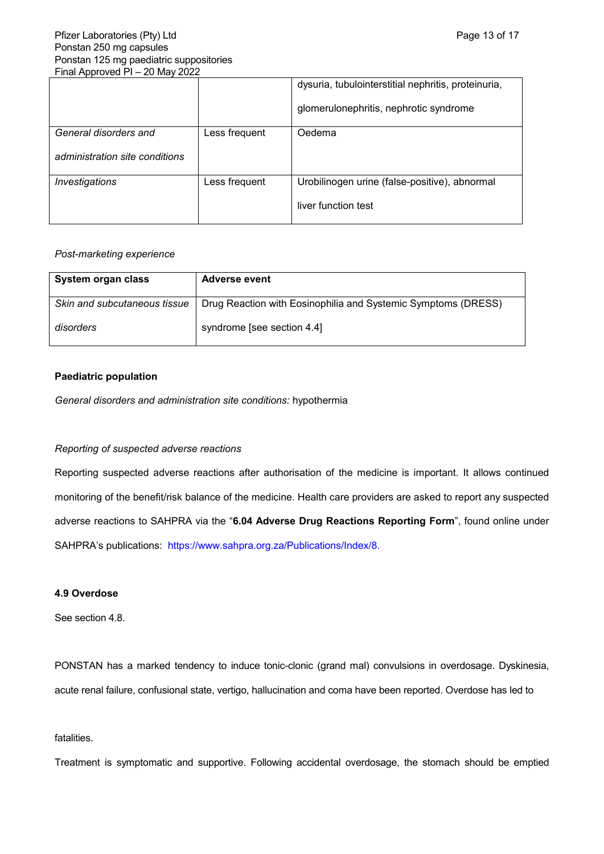|                                |               | dysuria, tubulointerstitial nephritis, proteinuria, |
|--------------------------------|---------------|-----------------------------------------------------|
|                                |               | glomerulonephritis, nephrotic syndrome              |
| General disorders and          | Less frequent | Oedema                                              |
| administration site conditions |               |                                                     |
| <i><b>Investigations</b></i>   | Less frequent | Urobilinogen urine (false-positive), abnormal       |
|                                |               | liver function test                                 |

### *Post-marketing experience*

| System organ class           | <b>Adverse event</b>                                          |
|------------------------------|---------------------------------------------------------------|
| Skin and subcutaneous tissue | Drug Reaction with Eosinophilia and Systemic Symptoms (DRESS) |
| disorders                    | syndrome [see section 4.4]                                    |

## **Paediatric population**

*General disorders and administration site conditions:* hypothermia

## *Reporting of suspected adverse reactions*

Reporting suspected adverse reactions after authorisation of the medicine is important. It allows continued monitoring of the benefit/risk balance of the medicine. Health care providers are asked to report any suspected adverse reactions to SAHPRA via the "**6.04 Adverse Drug Reactions Reporting Form**", found online under SAHPRA's publications: [https://www.sahpra.org.za/Publications/Index/8.](https://www.sahpra.org.za/Publications/Index/8)

# **4.9 Overdose**

See section 4.8.

PONSTAN has a marked tendency to induce tonic-clonic (grand mal) convulsions in overdosage. Dyskinesia, acute renal failure, confusional state, vertigo, hallucination and coma have been reported. Overdose has led to

## fatalities.

Treatment is symptomatic and supportive. Following accidental overdosage, the stomach should be emptied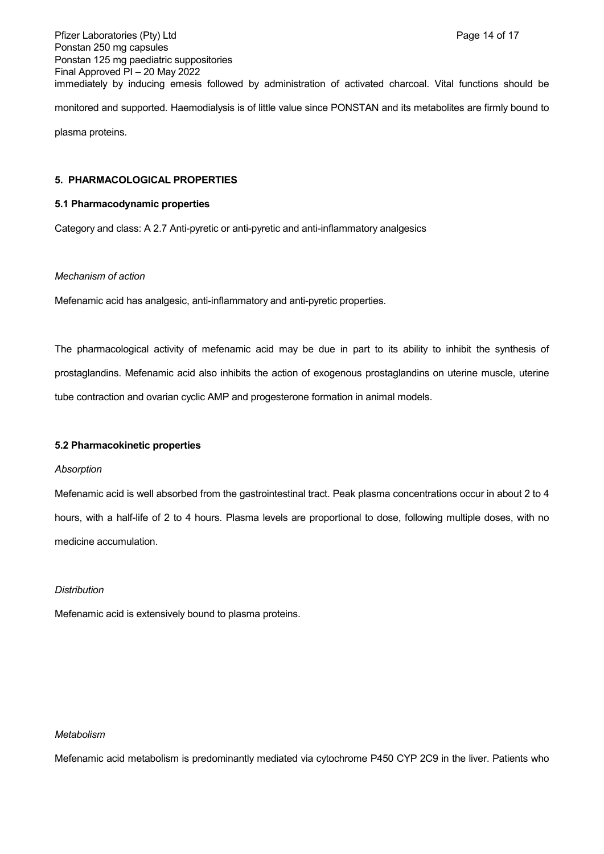Pfizer Laboratories (Pty) Ltd **Page 14 of 17** Page 14 of 17 Ponstan 250 mg capsules Ponstan 125 mg paediatric suppositories Final Approved PI – 20 May 2022 immediately by inducing emesis followed by administration of activated charcoal. Vital functions should be monitored and supported. Haemodialysis is of little value since PONSTAN and its metabolites are firmly bound to plasma proteins.

### **5. PHARMACOLOGICAL PROPERTIES**

### **5.1 Pharmacodynamic properties**

Category and class: A 2.7 Anti-pyretic or anti-pyretic and anti-inflammatory analgesics

#### *Mechanism of action*

Mefenamic acid has analgesic, anti-inflammatory and anti-pyretic properties.

The pharmacological activity of mefenamic acid may be due in part to its ability to inhibit the synthesis of prostaglandins. Mefenamic acid also inhibits the action of exogenous prostaglandins on uterine muscle, uterine tube contraction and ovarian cyclic AMP and progesterone formation in animal models.

#### **5.2 Pharmacokinetic properties**

#### *Absorption*

Mefenamic acid is well absorbed from the gastrointestinal tract. Peak plasma concentrations occur in about 2 to 4 hours, with a half-life of 2 to 4 hours. Plasma levels are proportional to dose, following multiple doses, with no medicine accumulation.

#### *Distribution*

Mefenamic acid is extensively bound to plasma proteins.

#### *Metabolism*

Mefenamic acid metabolism is predominantly mediated via cytochrome P450 CYP 2C9 in the liver. Patients who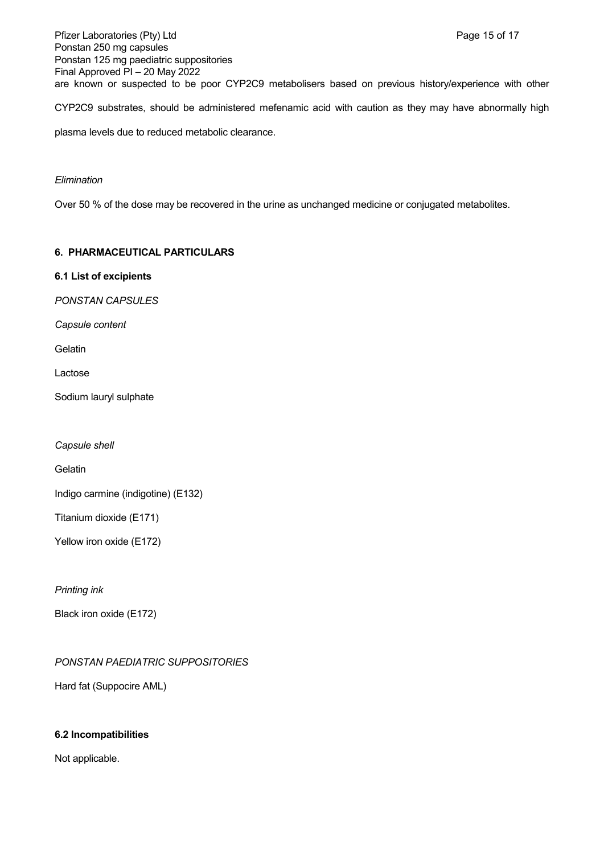Pfizer Laboratories (Pty) Ltd **Philosopheratories** (Pty) Ltd **Page 15 of 17** Ponstan 250 mg capsules Ponstan 125 mg paediatric suppositories Final Approved PI – 20 May 2022 are known or suspected to be poor CYP2C9 metabolisers based on previous history/experience with other

CYP2C9 substrates, should be administered mefenamic acid with caution as they may have abnormally high

plasma levels due to reduced metabolic clearance.

### *Elimination*

Over 50 % of the dose may be recovered in the urine as unchanged medicine or conjugated metabolites.

## **6. PHARMACEUTICAL PARTICULARS**

### **6.1 List of excipients**

*PONSTAN CAPSULES*

*Capsule content*

Gelatin

Lactose

Sodium lauryl sulphate

*Capsule shell*

**Gelatin** 

Indigo carmine (indigotine) (E132)

Titanium dioxide (E171)

Yellow iron oxide (E172)

*Printing ink*

Black iron oxide (E172)

*PONSTAN PAEDIATRIC SUPPOSITORIES*

Hard fat (Suppocire AML)

## **6.2 Incompatibilities**

Not applicable.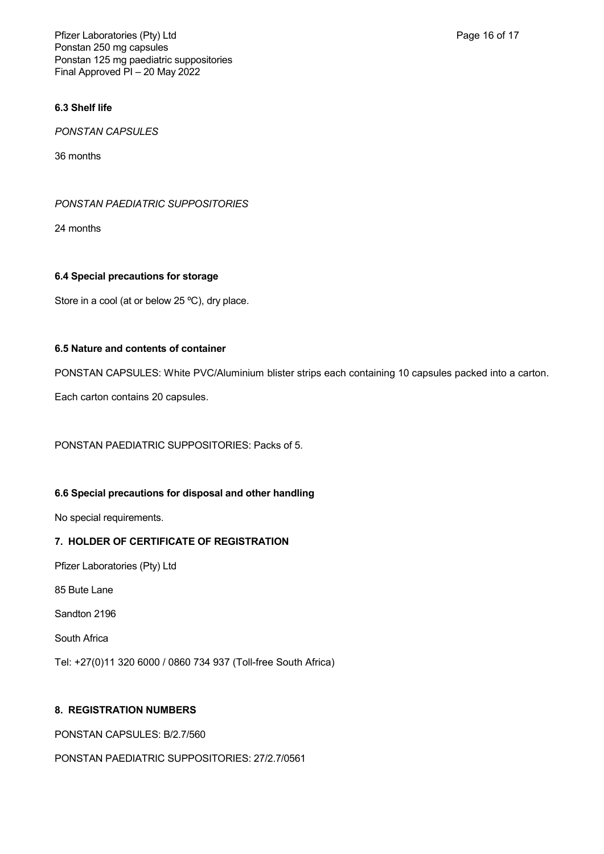Pfizer Laboratories (Pty) Ltd **Page 16 of 17** and Page 16 of 17 Ponstan 250 mg capsules Ponstan 125 mg paediatric suppositories Final Approved PI – 20 May 2022

# **6.3 Shelf life**

*PONSTAN CAPSULES*

36 months

### *PONSTAN PAEDIATRIC SUPPOSITORIES*

24 months

## **6.4 Special precautions for storage**

Store in a cool (at or below 25 °C), dry place.

## **6.5 Nature and contents of container**

PONSTAN CAPSULES: White PVC/Aluminium blister strips each containing 10 capsules packed into a carton.

Each carton contains 20 capsules.

PONSTAN PAEDIATRIC SUPPOSITORIES: Packs of 5.

## **6.6 Special precautions for disposal and other handling**

No special requirements.

## **7. HOLDER OF CERTIFICATE OF REGISTRATION**

Pfizer Laboratories (Pty) Ltd

85 Bute Lane

Sandton 2196

South Africa

Tel: +27(0)11 320 6000 / 0860 734 937 (Toll-free South Africa)

## **8. REGISTRATION NUMBERS**

PONSTAN CAPSULES: B/2.7/560

PONSTAN PAEDIATRIC SUPPOSITORIES: 27/2.7/0561